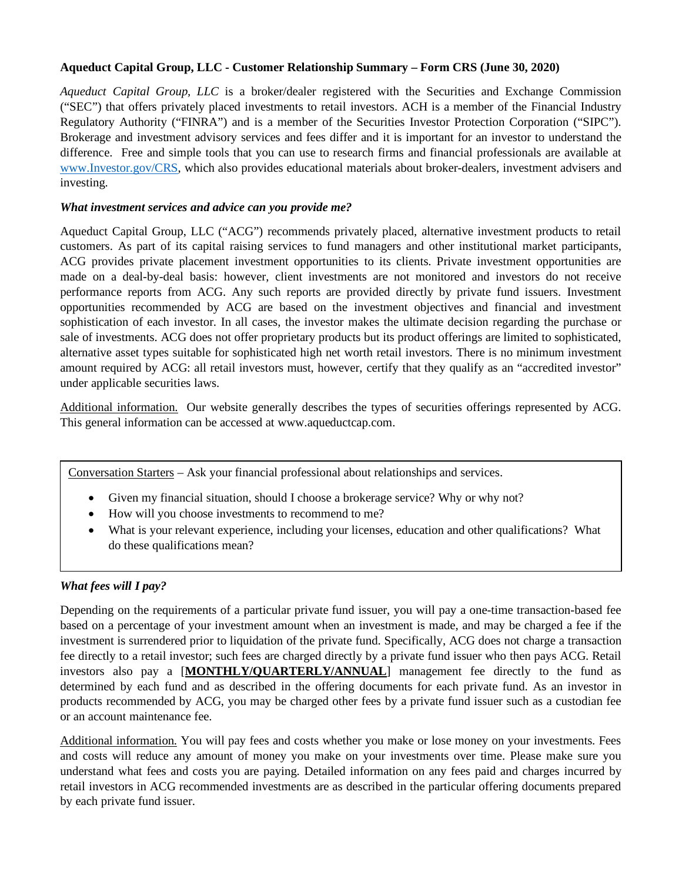# **Aqueduct Capital Group, LLC - Customer Relationship Summary – Form CRS (June 30, 2020)**

*Aqueduct Capital Group, LLC* is a broker/dealer registered with the Securities and Exchange Commission ("SEC") that offers privately placed investments to retail investors. ACH is a member of the Financial Industry Regulatory Authority ("FINRA") and is a member of the Securities Investor Protection Corporation ("SIPC"). Brokerage and investment advisory services and fees differ and it is important for an investor to understand the difference. Free and simple tools that you can use to research firms and financial professionals are available at [www.Investor.gov/CRS,](http://www.investor.gov/CRS) which also provides educational materials about broker-dealers, investment advisers and investing.

## *What investment services and advice can you provide me?*

Aqueduct Capital Group, LLC ("ACG") recommends privately placed, alternative investment products to retail customers. As part of its capital raising services to fund managers and other institutional market participants, ACG provides private placement investment opportunities to its clients. Private investment opportunities are made on a deal-by-deal basis: however, client investments are not monitored and investors do not receive performance reports from ACG. Any such reports are provided directly by private fund issuers. Investment opportunities recommended by ACG are based on the investment objectives and financial and investment sophistication of each investor. In all cases, the investor makes the ultimate decision regarding the purchase or sale of investments. ACG does not offer proprietary products but its product offerings are limited to sophisticated, alternative asset types suitable for sophisticated high net worth retail investors. There is no minimum investment amount required by ACG: all retail investors must, however, certify that they qualify as an "accredited investor" under applicable securities laws.

Additional information. Our website generally describes the types of securities offerings represented by ACG. This general information can be accessed at www.aqueductcap.com.

Conversation Starters – Ask your financial professional about relationships and services.

- Given my financial situation, should I choose a brokerage service? Why or why not?
- How will you choose investments to recommend to me?
- What is your relevant experience, including your licenses, education and other qualifications? What do these qualifications mean?

# *What fees will I pay?*

Depending on the requirements of a particular private fund issuer, you will pay a one-time transaction-based fee based on a percentage of your investment amount when an investment is made, and may be charged a fee if the investment is surrendered prior to liquidation of the private fund. Specifically, ACG does not charge a transaction fee directly to a retail investor; such fees are charged directly by a private fund issuer who then pays ACG. Retail investors also pay a [**MONTHLY/QUARTERLY/ANNUAL**] management fee directly to the fund as determined by each fund and as described in the offering documents for each private fund. As an investor in products recommended by ACG, you may be charged other fees by a private fund issuer such as a custodian fee or an account maintenance fee.

Additional information. You will pay fees and costs whether you make or lose money on your investments. Fees and costs will reduce any amount of money you make on your investments over time. Please make sure you understand what fees and costs you are paying. Detailed information on any fees paid and charges incurred by retail investors in ACG recommended investments are as described in the particular offering documents prepared by each private fund issuer.